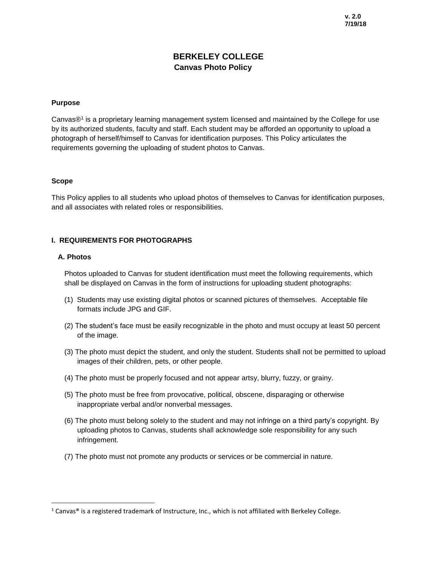# **BERKELEY COLLEGE Canvas Photo Policy**

### **Purpose**

Canvas®<sup>1</sup> is a proprietary learning management system licensed and maintained by the College for use by its authorized students, faculty and staff. Each student may be afforded an opportunity to upload a photograph of herself/himself to Canvas for identification purposes. This Policy articulates the requirements governing the uploading of student photos to Canvas.

#### **Scope**

This Policy applies to all students who upload photos of themselves to Canvas for identification purposes, and all associates with related roles or responsibilities.

## **I. REQUIREMENTS FOR PHOTOGRAPHS**

#### **A. Photos**

 $\overline{\phantom{a}}$ 

Photos uploaded to Canvas for student identification must meet the following requirements, which shall be displayed on Canvas in the form of instructions for uploading student photographs:

- (1) Students may use existing digital photos or scanned pictures of themselves. Acceptable file formats include JPG and GIF.
- (2) The student's face must be easily recognizable in the photo and must occupy at least 50 percent of the image.
- (3) The photo must depict the student, and only the student. Students shall not be permitted to upload images of their children, pets, or other people.
- (4) The photo must be properly focused and not appear artsy, blurry, fuzzy, or grainy.
- (5) The photo must be free from provocative, political, obscene, disparaging or otherwise inappropriate verbal and/or nonverbal messages.
- (6) The photo must belong solely to the student and may not infringe on a third party's copyright. By uploading photos to Canvas, students shall acknowledge sole responsibility for any such infringement.
- (7) The photo must not promote any products or services or be commercial in nature.

 $1$  Canvas® is a registered trademark of Instructure, Inc., which is not affiliated with Berkeley College.